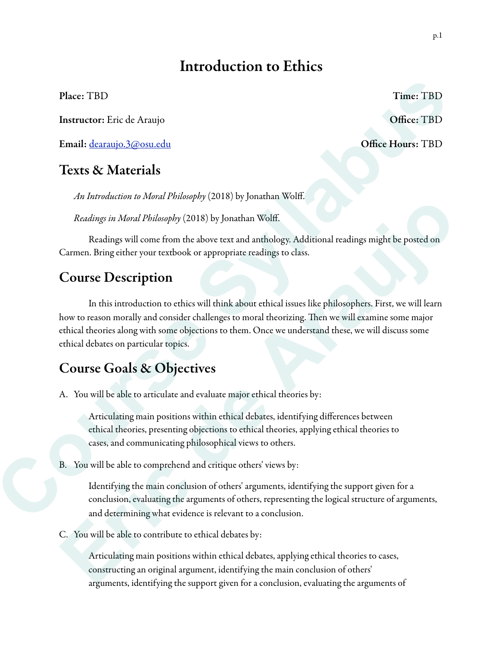# Introduction to Ethics

Instructor: Eric de Araujo **Office: TBD** 

Email: dearaujo.3@osu.edu Office Hours: TBD

## Texts & Materials

*An Introduction to Moral Philosophy* (2018) by Jonathan Wolff.

*Readings in Moral Philosophy* (2018) by Jonathan Wolff.

 Readings will come from the above text and anthology. Additional readings might be posted on Carmen. Bring either your textbook or appropriate readings to class.

## Course Description

 In this introduction to ethics will think about ethical issues like philosophers. First, we will learn how to reason morally and consider challenges to moral theorizing. Then we will examine some major ethical theories along with some objections to them. Once we understand these, we will discuss some ethical debates on particular topics. Place: TBD Time: TBD Time: TBD Clinic (FBD)<br> **Course Course Syllabus Course Syllabus Course Syllabus Course Syllabus Confece I and a distinguish of the state of the state of the state of the state of the state of the state** *Entailing in Moral Philosophy* (2018) by Jonatani wont.<br> *Readings in Moral Philosophy* (2018) by Jonathan Wolff.<br> **Eximinals well control**<br> **Eximinals with control on the above text and anthology. Additional readings nig** 

## Course Goals & Objectives

A. You will be able to articulate and evaluate major ethical theories by:

Articulating main positions within ethical debates, identifying differences between ethical theories, presenting objections to ethical theories, applying ethical theories to cases, and communicating philosophical views to others.

B. You will be able to comprehend and critique others' views by:

Identifying the main conclusion of others' arguments, identifying the support given for a conclusion, evaluating the arguments of others, representing the logical structure of arguments, and determining what evidence is relevant to a conclusion.

C. You will be able to contribute to ethical debates by:

Articulating main positions within ethical debates, applying ethical theories to cases, constructing an original argument, identifying the main conclusion of others' arguments, identifying the support given for a conclusion, evaluating the arguments of

Place: TBD Time: TBD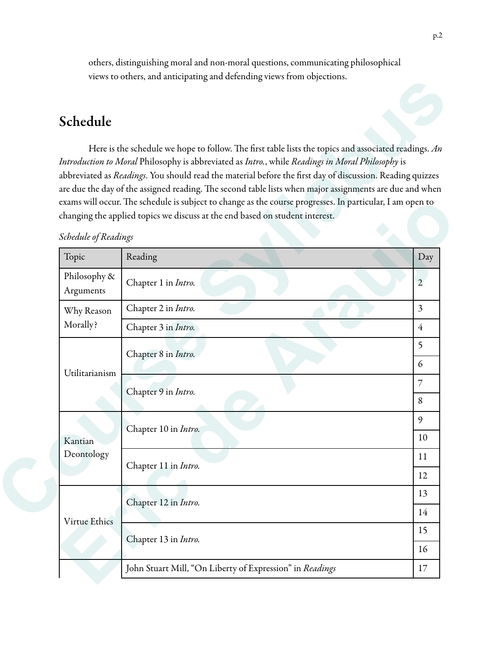others, distinguishing moral and non-moral questions, communicating philosophical views to others, and anticipating and defending views from objections.

## Schedule

#### *Schedule of Readings*

|       | Schedule                  |                                                                                                                                                                                                                                                                                                                                                                                                                                                                                                                                                                                                                                 |                |
|-------|---------------------------|---------------------------------------------------------------------------------------------------------------------------------------------------------------------------------------------------------------------------------------------------------------------------------------------------------------------------------------------------------------------------------------------------------------------------------------------------------------------------------------------------------------------------------------------------------------------------------------------------------------------------------|----------------|
|       |                           | Here is the schedule we hope to follow. The first table lists the topics and associated readings. $An$<br>Introduction to Moral Philosophy is abbreviated as Intro., while Readings in Moral Philosophy is<br>abbreviated as Readings. You should read the material before the first day of discussion. Reading quizzes<br>are due the day of the assigned reading. The second table lists when major assignments are due and when<br>exams will occur. The schedule is subject to change as the course progresses. In particular, I am open to<br>changing the applied topics we discuss at the end based on student interest. |                |
|       | Schedule of Readings      |                                                                                                                                                                                                                                                                                                                                                                                                                                                                                                                                                                                                                                 |                |
| Topic |                           | Reading                                                                                                                                                                                                                                                                                                                                                                                                                                                                                                                                                                                                                         | Day            |
|       | Philosophy &<br>Arguments | Chapter 1 in Intro.                                                                                                                                                                                                                                                                                                                                                                                                                                                                                                                                                                                                             | $\mathbf{2}$   |
|       | Why Reason                | Chapter 2 in Intro.                                                                                                                                                                                                                                                                                                                                                                                                                                                                                                                                                                                                             | $\overline{3}$ |
|       | Morally?                  | Chapter 3 in Intro.                                                                                                                                                                                                                                                                                                                                                                                                                                                                                                                                                                                                             | $\overline{4}$ |
|       |                           | Chapter 8 in Intro.                                                                                                                                                                                                                                                                                                                                                                                                                                                                                                                                                                                                             | 5              |
|       | Utilitarianism            |                                                                                                                                                                                                                                                                                                                                                                                                                                                                                                                                                                                                                                 |                |
|       |                           | Chapter 9 in Intro.                                                                                                                                                                                                                                                                                                                                                                                                                                                                                                                                                                                                             | 7              |
|       |                           |                                                                                                                                                                                                                                                                                                                                                                                                                                                                                                                                                                                                                                 |                |
|       | Kantian<br>Deontology     | Chapter 10 in Intro.                                                                                                                                                                                                                                                                                                                                                                                                                                                                                                                                                                                                            | 9              |
|       |                           |                                                                                                                                                                                                                                                                                                                                                                                                                                                                                                                                                                                                                                 |                |
|       |                           | Chapter 11 in Intro.                                                                                                                                                                                                                                                                                                                                                                                                                                                                                                                                                                                                            |                |
|       |                           |                                                                                                                                                                                                                                                                                                                                                                                                                                                                                                                                                                                                                                 |                |
|       | Virtue Ethics             | Chapter 12 in Intro.                                                                                                                                                                                                                                                                                                                                                                                                                                                                                                                                                                                                            | 13             |
|       |                           |                                                                                                                                                                                                                                                                                                                                                                                                                                                                                                                                                                                                                                 |                |
|       |                           | Chapter 13 in Intro.                                                                                                                                                                                                                                                                                                                                                                                                                                                                                                                                                                                                            |                |
|       |                           |                                                                                                                                                                                                                                                                                                                                                                                                                                                                                                                                                                                                                                 |                |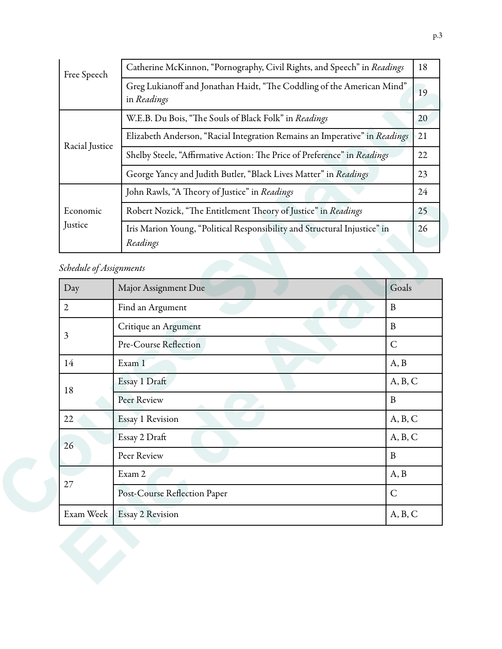| Free Speech             | Catherine McKinnon, "Pornography, Civil Rights, and Speech" in Readings               |       |  |  |
|-------------------------|---------------------------------------------------------------------------------------|-------|--|--|
|                         | Greg Lukianoff and Jonathan Haidt, "The Coddling of the American Mind"<br>in Readings |       |  |  |
|                         | W.E.B. Du Bois, "The Souls of Black Folk" in <i>Readings</i>                          |       |  |  |
|                         | Elizabeth Anderson, "Racial Integration Remains an Imperative" in Readings            |       |  |  |
| Racial Justice          | Shelby Steele, "Affirmative Action: The Price of Preference" in Readings              |       |  |  |
|                         | George Yancy and Judith Butler, "Black Lives Matter" in Readings<br>23                |       |  |  |
|                         | John Rawls, "A Theory of Justice" in Readings                                         |       |  |  |
| Economic                | Robert Nozick, "The Entitlement Theory of Justice" in Readings                        |       |  |  |
| Justice                 | Iris Marion Young, "Political Responsibility and Structural Injustice" in<br>Readings |       |  |  |
| Schedule of Assignments |                                                                                       |       |  |  |
| Day                     | Major Assignment Due                                                                  | Goals |  |  |
| 2                       | B<br>Find an Argument                                                                 |       |  |  |
|                         |                                                                                       |       |  |  |

## *Schedule of Assignments*

| Economic<br>Justice     | Robert Nozick, "The Entitlement Theory of Justice" in Readings                        |              |  |
|-------------------------|---------------------------------------------------------------------------------------|--------------|--|
|                         | Iris Marion Young, "Political Responsibility and Structural Injustice" in<br>Readings | 26           |  |
| Schedule of Assignments |                                                                                       |              |  |
| Day                     | Major Assignment Due                                                                  | Goals        |  |
| $\overline{2}$          | Find an Argument                                                                      | $\mathbf{B}$ |  |
|                         | Critique an Argument                                                                  | $\, {\bf B}$ |  |
| 3                       | Pre-Course Reflection                                                                 | $\mathsf{C}$ |  |
| 14                      | Exam 1                                                                                | A, B         |  |
| 18                      | Essay 1 Draft                                                                         | A, B, C      |  |
|                         | Peer Review                                                                           | $\, {\bf B}$ |  |
| 22                      | Essay 1 Revision                                                                      | A, B, C      |  |
| 26                      | Essay 2 Draft                                                                         | A, B, C      |  |
|                         | Peer Review                                                                           | $\, {\bf B}$ |  |
|                         | Exam 2                                                                                | A, B         |  |
| 27                      | Post-Course Reflection Paper                                                          | $\mathsf C$  |  |
| Exam Week               | <b>Essay 2 Revision</b>                                                               | A, B, C      |  |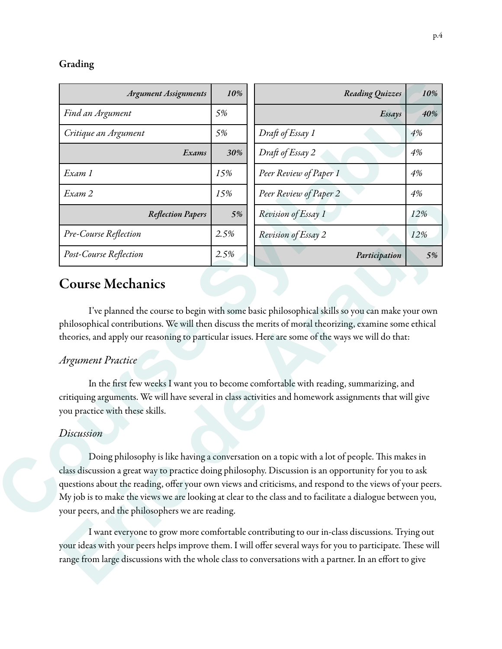#### Grading

| <b>Argument Assignments</b>                         | 10%  | Reading Quizzes                                                                                                                                                                                                                                                                                                | 10% |
|-----------------------------------------------------|------|----------------------------------------------------------------------------------------------------------------------------------------------------------------------------------------------------------------------------------------------------------------------------------------------------------------|-----|
| Find an Argument                                    | 5%   | Essays                                                                                                                                                                                                                                                                                                         | 40% |
| Critique an Argument                                | 5%   | Draft of Essay 1                                                                                                                                                                                                                                                                                               | 4%  |
| Exams                                               | 30%  | Draft of Essay 2                                                                                                                                                                                                                                                                                               | 4%  |
| Exam 1                                              | 15%  | Peer Review of Paper 1                                                                                                                                                                                                                                                                                         | 4%  |
| Exam 2                                              | 15%  | Peer Review of Paper 2                                                                                                                                                                                                                                                                                         | 4%  |
| <b>Reflection Papers</b>                            | 5%   | Revision of Essay 1                                                                                                                                                                                                                                                                                            | 12% |
| Pre-Course Reflection                               | 2.5% | Revision of Essay 2                                                                                                                                                                                                                                                                                            | 12% |
| Post-Course Reflection                              | 2.5% | Participation                                                                                                                                                                                                                                                                                                  | 5%  |
| <b>Course Mechanics</b><br><b>Argument Practice</b> |      | I've planned the course to begin with some basic philosophical skills so you can make your own<br>philosophical contributions. We will then discuss the merits of moral theorizing, examine some ethical<br>theories, and apply our reasoning to particular issues. Here are some of the ways we will do that: |     |
| you practice with these skills.                     |      | In the first few weeks I want you to become comfortable with reading, summarizing, and<br>critiquing arguments. We will have several in class activities and homework assignments that will give                                                                                                               |     |
| Discussion                                          |      |                                                                                                                                                                                                                                                                                                                |     |

## Course Mechanics

### *Argument Practice*

#### *Discussion*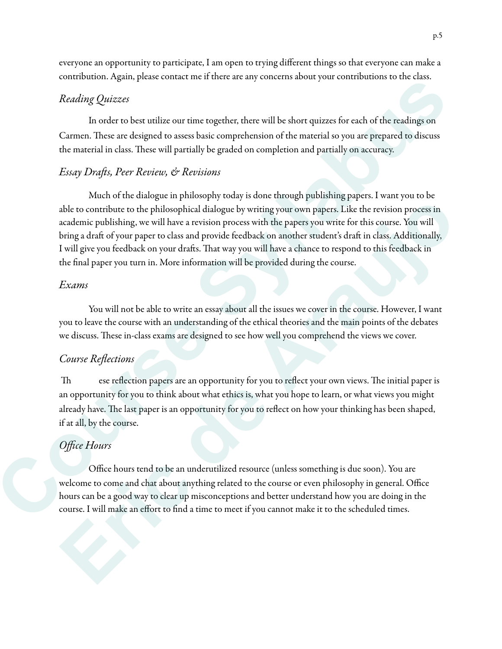everyone an opportunity to participate, I am open to trying different things so that everyone can make a contribution. Again, please contact me if there are any concerns about your contributions to the class.

## *Reading Quizzes*

 In order to best utilize our time together, there will be short quizzes for each of the readings on Carmen. These are designed to assess basic comprehension of the material so you are prepared to discuss the material in class. These will partially be graded on completion and partially on accuracy.

## *Essay Dra*f*s, Peer Review, & Revisions*

Much of the dialogue in philosophy today is done through publishing papers. I want you to be able to contribute to the philosophical dialogue by writing your own papers. Like the revision process in academic publishing, we will have a revision process with the papers you write for this course. You will bring a draft of your paper to class and provide feedback on another student's draft in class. Additionally, I will give you feedback on your drafs. Tat way you will have a chance to respond to this feedback in the final paper you turn in. More information will be provided during the course. ine it there are any concerns about your contributions to the class.<br>
me together, there will be short quizzes for each of the readings on<br>
shasic comprehension of the material so you are prepared to discuss<br>
ally be grade able to contribute to the philosophical dialogue by writing your own papers. I ske the revision process in<br>academic publishing, we will have a revision process with the papers your technology of the contribute to the philo

#### *Exams*

You will not be able to write an essay about all the issues we cover in the course. However, I want you to leave the course with an understanding of the ethical theories and the main points of the debates we discuss. These in-class exams are designed to see how well you comprehend the views we cover.

### *Course Re*fl*ections*

Th ese reflection papers are an opportunity for you to reflect your own views. The initial paper is an opportunity for you to think about what ethics is, what you hope to learn, or what views you might already have. The last paper is an opportunity for you to reflect on how your thinking has been shaped, if at all, by the course. Fractional space of the course with an understanding<br>we discuss. These in-class exams are designed to<br>Course Reflections<br>These reflection papers are an opportun<br>an opportunity for you to think about what et<br>already have. T

## *O*ffi*ce Hours*

 Office hours tend to be an underutilized resource (unless something is due soon). You are welcome to come and chat about anything related to the course or even philosophy in general. Office hours can be a good way to clear up misconceptions and better understand how you are doing in the course. I will make an effort to find a time to meet if you cannot make it to the scheduled times.